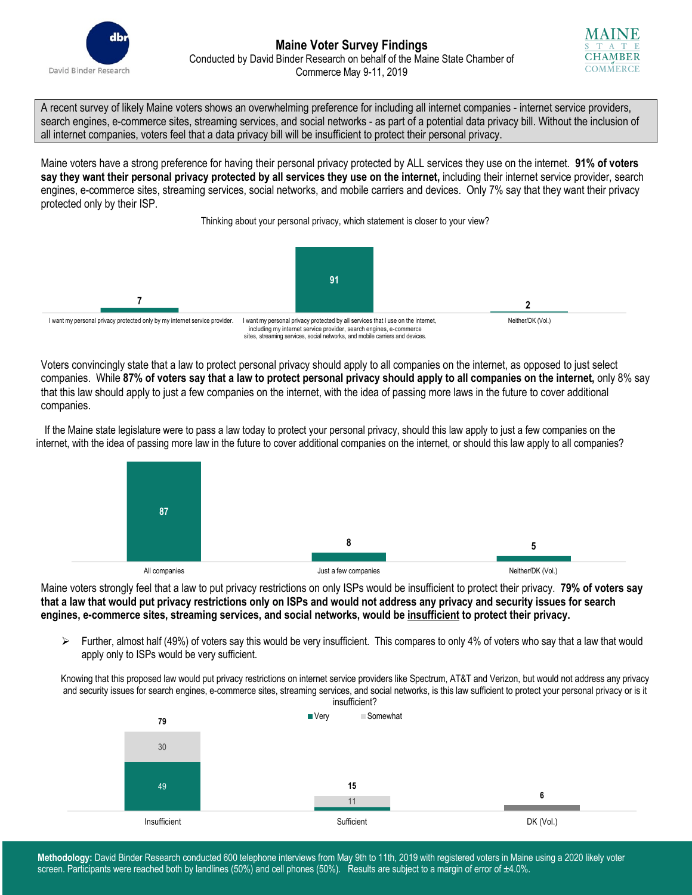



A recent survey of likely Maine voters shows an overwhelming preference for including all internet companies - internet service providers, search engines, e-commerce sites, streaming services, and social networks - as part of a potential data privacy bill. Without the inclusion of all internet companies, voters feel that a data privacy bill will be insufficient to protect their personal privacy.

Maine voters have a strong preference for having their personal privacy protected by ALL services they use on the internet. **91% of voters say they want their personal privacy protected by all services they use on the internet,** including their internet service provider, search engines, e-commerce sites, streaming services, social networks, and mobile carriers and devices. Only 7% say that they want their privacy protected only by their ISP.

Thinking about your personal privacy, which statement is closer to your view?



Voters convincingly state that a law to protect personal privacy should apply to all companies on the internet, as opposed to just select companies. While **87% of voters say that a law to protect personal privacy should apply to all companies on the internet,** only 8% say that this law should apply to just a few companies on the internet, with the idea of passing more laws in the future to cover additional companies.

If the Maine state legislature were to pass a law today to protect your personal privacy, should this law apply to just a few companies on the internet, with the idea of passing more law in the future to cover additional companies on the internet, or should this law apply to all companies?



Maine voters strongly feel that a law to put privacy restrictions on only ISPs would be insufficient to protect their privacy. **79% of voters say that a law that would put privacy restrictions only on ISPs and would not address any privacy and security issues for search engines, e-commerce sites, streaming services, and social networks, would be insufficient to protect their privacy.**

 $\triangleright$  Further, almost half (49%) of voters say this would be very insufficient. This compares to only 4% of voters who say that a law that would apply only to ISPs would be very sufficient.

Knowing that this proposed law would put privacy restrictions on internet service providers like Spectrum, AT&T and Verizon, but would not address any privacy and security issues for search engines, e-commerce sites, streaming services, and social networks, is this law sufficient to protect your personal privacy or is it



**Methodology:** David Binder Research conducted 600 telephone interviews from May 9th to 11th, 2019 with registered voters in Maine using a 2020 likely voter screen. Participants were reached both by landlines (50%) and cell phones (50%). Results are subject to a margin of error of  $\pm 4.0$ %.